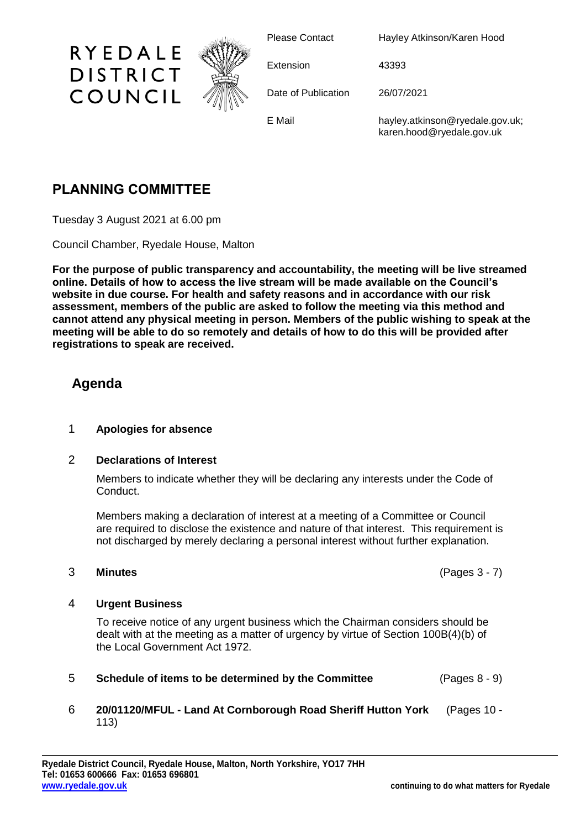

Please Contact Hayley Atkinson/Karen Hood

Extension 43393

Date of Publication 26/07/2021

E Mail hayley.atkinson@ryedale.gov.uk; karen.hood@ryedale.gov.uk

# **PLANNING COMMITTEE**

Tuesday 3 August 2021 at 6.00 pm

Council Chamber, Ryedale House, Malton

**For the purpose of public transparency and accountability, the meeting will be live streamed online. Details of how to access the live stream will be made available on the Council's website in due course. For health and safety reasons and in accordance with our risk assessment, members of the public are asked to follow the meeting via this method and cannot attend any physical meeting in person. Members of the public wishing to speak at the meeting will be able to do so remotely and details of how to do this will be provided after registrations to speak are received.**

## **Agenda**

### 1 **Apologies for absence**

### 2 **Declarations of Interest**

Members to indicate whether they will be declaring any interests under the Code of Conduct.

Members making a declaration of interest at a meeting of a Committee or Council are required to disclose the existence and nature of that interest. This requirement is not discharged by merely declaring a personal interest without further explanation.

#### 3 **Minutes** (Pages 3 - 7)

### 4 **Urgent Business**

To receive notice of any urgent business which the Chairman considers should be dealt with at the meeting as a matter of urgency by virtue of Section 100B(4)(b) of the Local Government Act 1972.

5 **Schedule of items to be determined by the Committee** (Pages 8 - 9)

### 6 **20/01120/MFUL - Land At Cornborough Road Sheriff Hutton York** (Pages 10 - 113)